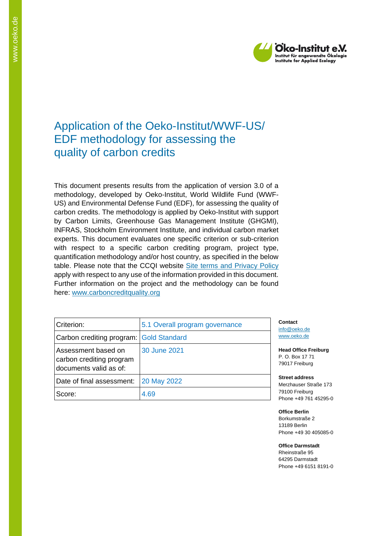

# Application of the Oeko-Institut/WWF-US/ EDF methodology for assessing the quality of carbon credits

This document presents results from the application of version 3.0 of a methodology, developed by Oeko-Institut, World Wildlife Fund (WWF-US) and Environmental Defense Fund (EDF), for assessing the quality of carbon credits. The methodology is applied by Oeko-Institut with support by Carbon Limits, Greenhouse Gas Management Institute (GHGMI), INFRAS, Stockholm Environment Institute, and individual carbon market experts. This document evaluates one specific criterion or sub-criterion with respect to a specific carbon crediting program, project type, quantification methodology and/or host country, as specified in the below table. Please note that the CCQI website [Site terms and Privacy Policy](https://carboncreditquality.org/terms.html) apply with respect to any use of the information provided in this document. Further information on the project and the methodology can be found here: [www.carboncreditquality.org](http://www.carboncreditquality.org/)

| Criterion:                                                                | 5.1 Overall program governance | Conta<br>info@           |
|---------------------------------------------------------------------------|--------------------------------|--------------------------|
| Carbon crediting program: Gold Standard                                   |                                | www.c                    |
| Assessment based on<br>carbon crediting program<br>documents valid as of: | 30 June 2021                   | Head<br>P. O. I<br>79017 |
| Date of final assessment:                                                 | 20 May 2022                    | <b>Street</b><br>Merzh   |
| Score:                                                                    | 4.69                           | 79100<br>Phone           |

**n**ct oeko.de oeko.de

**Office Freiburg** Box 17 71 Freiburg

**Street address** auser Straße 173 Freiburg e +49 761 45295-0

**Office Berlin** Borkumstraße 2 13189 Berlin Phone +49 30 405085-0

**Office Darmstadt** Rheinstraße 95

64295 Darmstadt Phone +49 6151 8191-0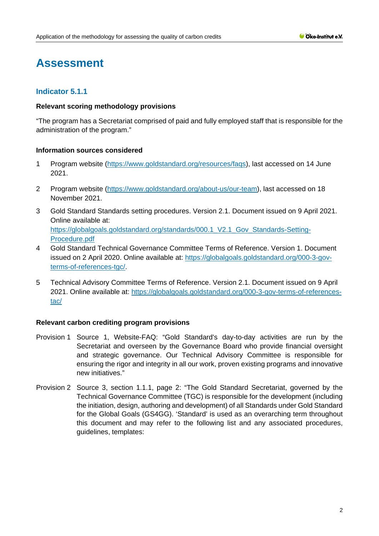# **Assessment**

# **Indicator 5.1.1**

#### **Relevant scoring methodology provisions**

"The program has a Secretariat comprised of paid and fully employed staff that is responsible for the administration of the program."

# **Information sources considered**

- 1 Program website [\(https://www.goldstandard.org/resources/faqs\)](https://www.goldstandard.org/resources/faqs), last accessed on 14 June 2021.
- 2 Program website [\(https://www.goldstandard.org/about-us/our-team\)](https://www.goldstandard.org/about-us/our-team), last accessed on 18 November 2021.
- 3 Gold Standard Standards setting procedures. Version 2.1. Document issued on 9 April 2021. Online available at: [https://globalgoals.goldstandard.org/standards/000.1\\_V2.1\\_Gov\\_Standards-Setting-](https://globalgoals.goldstandard.org/standards/000.1_V2.1_Gov_Standards-Setting-Procedure.pdf)[Procedure.pdf](https://globalgoals.goldstandard.org/standards/000.1_V2.1_Gov_Standards-Setting-Procedure.pdf)
- 4 Gold Standard Technical Governance Committee Terms of Reference. Version 1. Document issued on 2 April 2020. Online available at: [https://globalgoals.goldstandard.org/000-3-gov](https://globalgoals.goldstandard.org/000-3-gov-terms-of-references-tgc/)[terms-of-references-tgc/.](https://globalgoals.goldstandard.org/000-3-gov-terms-of-references-tgc/)
- 5 Technical Advisory Committee Terms of Reference. Version 2.1. Document issued on 9 April 2021. Online available at: [https://globalgoals.goldstandard.org/000-3-gov-terms-of-references](https://globalgoals.goldstandard.org/000-3-gov-terms-of-references-tac/)[tac/](https://globalgoals.goldstandard.org/000-3-gov-terms-of-references-tac/)

# **Relevant carbon crediting program provisions**

- Provision 1 Source 1, Website-FAQ: "Gold Standard's day-to-day activities are run by the Secretariat and overseen by the Governance Board who provide financial oversight and strategic governance. Our Technical Advisory Committee is responsible for ensuring the rigor and integrity in all our work, proven existing programs and innovative new initiatives."
- Provision 2 Source 3, section 1.1.1, page 2: "The Gold Standard Secretariat, governed by the Technical Governance Committee (TGC) is responsible for the development (including the initiation, design, authoring and development) of all Standards under Gold Standard for the Global Goals (GS4GG). 'Standard' is used as an overarching term throughout this document and may refer to the following list and any associated procedures, guidelines, templates: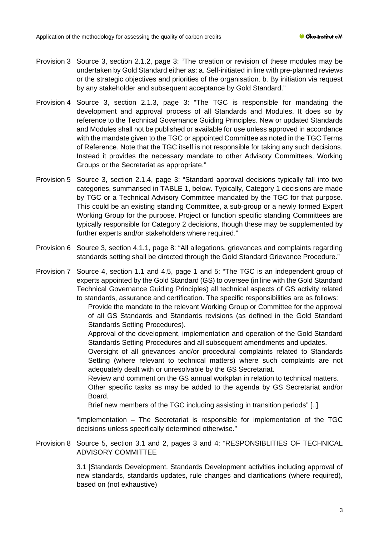- Provision 3 Source 3, section 2.1.2, page 3: "The creation or revision of these modules may be undertaken by Gold Standard either as: a. Self-initiated in line with pre-planned reviews or the strategic objectives and priorities of the organisation. b. By initiation via request by any stakeholder and subsequent acceptance by Gold Standard."
- Provision 4 Source 3, section 2.1.3, page 3: "The TGC is responsible for mandating the development and approval process of all Standards and Modules. It does so by reference to the Technical Governance Guiding Principles. New or updated Standards and Modules shall not be published or available for use unless approved in accordance with the mandate given to the TGC or appointed Committee as noted in the TGC Terms of Reference. Note that the TGC itself is not responsible for taking any such decisions. Instead it provides the necessary mandate to other Advisory Committees, Working Groups or the Secretariat as appropriate."
- Provision 5 Source 3, section 2.1.4, page 3: "Standard approval decisions typically fall into two categories, summarised in TABLE 1, below. Typically, Category 1 decisions are made by TGC or a Technical Advisory Committee mandated by the TGC for that purpose. This could be an existing standing Committee, a sub-group or a newly formed Expert Working Group for the purpose. Project or function specific standing Committees are typically responsible for Category 2 decisions, though these may be supplemented by further experts and/or stakeholders where required."
- Provision 6 Source 3, section 4.1.1, page 8: "All allegations, grievances and complaints regarding standards setting shall be directed through the Gold Standard Grievance Procedure."

Provision 7 Source 4, section 1.1 and 4.5, page 1 and 5: "The TGC is an independent group of experts appointed by the Gold Standard (GS) to oversee (in line with the Gold Standard Technical Governance Guiding Principles) all technical aspects of GS activity related to standards, assurance and certification. The specific responsibilities are as follows:

Provide the mandate to the relevant Working Group or Committee for the approval of all GS Standards and Standards revisions (as defined in the Gold Standard Standards Setting Procedures).

Approval of the development, implementation and operation of the Gold Standard Standards Setting Procedures and all subsequent amendments and updates.

Oversight of all grievances and/or procedural complaints related to Standards Setting (where relevant to technical matters) where such complaints are not adequately dealt with or unresolvable by the GS Secretariat.

Review and comment on the GS annual workplan in relation to technical matters. Other specific tasks as may be added to the agenda by GS Secretariat and/or Board.

Brief new members of the TGC including assisting in transition periods" [..]

"Implementation – The Secretariat is responsible for implementation of the TGC decisions unless specifically determined otherwise."

Provision 8 Source 5, section 3.1 and 2, pages 3 and 4: "RESPONSIBLITIES OF TECHNICAL ADVISORY COMMITTEE

> 3.1 |Standards Development. Standards Development activities including approval of new standards, standards updates, rule changes and clarifications (where required), based on (not exhaustive)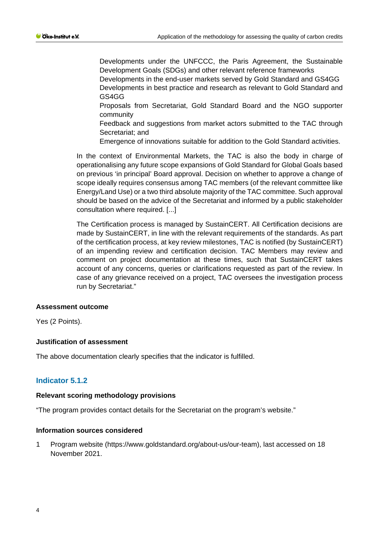Developments under the UNFCCC, the Paris Agreement, the Sustainable Development Goals (SDGs) and other relevant reference frameworks Developments in the end-user markets served by Gold Standard and GS4GG Developments in best practice and research as relevant to Gold Standard and GS4GG

Proposals from Secretariat, Gold Standard Board and the NGO supporter community

Feedback and suggestions from market actors submitted to the TAC through Secretariat; and

Emergence of innovations suitable for addition to the Gold Standard activities.

In the context of Environmental Markets, the TAC is also the body in charge of operationalising any future scope expansions of Gold Standard for Global Goals based on previous 'in principal' Board approval. Decision on whether to approve a change of scope ideally requires consensus among TAC members (of the relevant committee like Energy/Land Use) or a two third absolute majority of the TAC committee. Such approval should be based on the advice of the Secretariat and informed by a public stakeholder consultation where required. [...]

The Certification process is managed by SustainCERT. All Certification decisions are made by SustainCERT, in line with the relevant requirements of the standards. As part of the certification process, at key review milestones, TAC is notified (by SustainCERT) of an impending review and certification decision. TAC Members may review and comment on project documentation at these times, such that SustainCERT takes account of any concerns, queries or clarifications requested as part of the review. In case of any grievance received on a project, TAC oversees the investigation process run by Secretariat."

#### **Assessment outcome**

Yes (2 Points).

# **Justification of assessment**

The above documentation clearly specifies that the indicator is fulfilled.

# **Indicator 5.1.2**

#### **Relevant scoring methodology provisions**

"The program provides contact details for the Secretariat on the program's website."

#### **Information sources considered**

1 Program website (https://www.goldstandard.org/about-us/our-team), last accessed on 18 November 2021.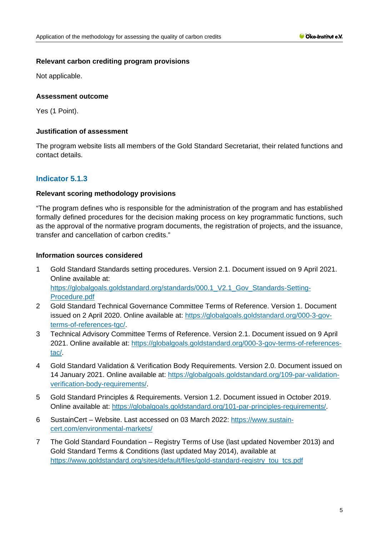#### **Relevant carbon crediting program provisions**

Not applicable.

# **Assessment outcome**

Yes (1 Point).

# **Justification of assessment**

The program website lists all members of the Gold Standard Secretariat, their related functions and contact details.

# **Indicator 5.1.3**

# **Relevant scoring methodology provisions**

"The program defines who is responsible for the administration of the program and has established formally defined procedures for the decision making process on key programmatic functions, such as the approval of the normative program documents, the registration of projects, and the issuance, transfer and cancellation of carbon credits."

# **Information sources considered**

- 1 Gold Standard Standards setting procedures. Version 2.1. Document issued on 9 April 2021. Online available at: https://globalgoals.goldstandard.org/standards/000.1 V2.1 Gov Standards-Setting-[Procedure.pdf](https://globalgoals.goldstandard.org/standards/000.1_V2.1_Gov_Standards-Setting-Procedure.pdf)
- 2 Gold Standard Technical Governance Committee Terms of Reference. Version 1. Document issued on 2 April 2020. Online available at: [https://globalgoals.goldstandard.org/000-3-gov](https://globalgoals.goldstandard.org/000-3-gov-terms-of-references-tgc/)[terms-of-references-tgc/.](https://globalgoals.goldstandard.org/000-3-gov-terms-of-references-tgc/)
- 3 Technical Advisory Committee Terms of Reference. Version 2.1. Document issued on 9 April 2021. Online available at: [https://globalgoals.goldstandard.org/000-3-gov-terms-of-references](https://globalgoals.goldstandard.org/000-3-gov-terms-of-references-tac/)[tac/.](https://globalgoals.goldstandard.org/000-3-gov-terms-of-references-tac/)
- 4 Gold Standard Validation & Verification Body Requirements. Version 2.0. Document issued on 14 January 2021. Online available at: [https://globalgoals.goldstandard.org/109-par-validation](https://globalgoals.goldstandard.org/109-par-validation-verification-body-requirements/)[verification-body-requirements/.](https://globalgoals.goldstandard.org/109-par-validation-verification-body-requirements/)
- 5 Gold Standard Principles & Requirements. Version 1.2. Document issued in October 2019. Online available at: [https://globalgoals.goldstandard.org/101-par-principles-requirements/.](https://globalgoals.goldstandard.org/101-par-principles-requirements/)
- 6 SustainCert Website. Last accessed on 03 March 2022: [https://www.sustain](https://www.sustain-cert.com/environmental-markets/)[cert.com/environmental-markets/](https://www.sustain-cert.com/environmental-markets/)
- 7 The Gold Standard Foundation Registry Terms of Use (last updated November 2013) and Gold Standard Terms & Conditions (last updated May 2014), available at [https://www.goldstandard.org/sites/default/files/gold-standard-registry\\_tou\\_tcs.pdf](https://www.goldstandard.org/sites/default/files/gold-standard-registry_tou_tcs.pdf)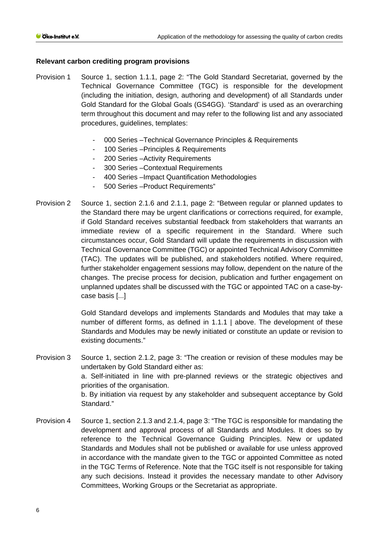#### **Relevant carbon crediting program provisions**

- Provision 1 Source 1, section 1.1.1, page 2: "The Gold Standard Secretariat, governed by the Technical Governance Committee (TGC) is responsible for the development (including the initiation, design, authoring and development) of all Standards under Gold Standard for the Global Goals (GS4GG). 'Standard' is used as an overarching term throughout this document and may refer to the following list and any associated procedures, guidelines, templates:
	- 000 Series –Technical Governance Principles & Requirements
	- 100 Series Principles & Requirements
	- 200 Series Activity Requirements
	- 300 Series Contextual Requirements
	- 400 Series –Impact Quantification Methodologies
	- 500 Series –Product Requirements"
- Provision 2 Source 1, section 2.1.6 and 2.1.1, page 2: "Between regular or planned updates to the Standard there may be urgent clarifications or corrections required, for example, if Gold Standard receives substantial feedback from stakeholders that warrants an immediate review of a specific requirement in the Standard. Where such circumstances occur, Gold Standard will update the requirements in discussion with Technical Governance Committee (TGC) or appointed Technical Advisory Committee (TAC). The updates will be published, and stakeholders notified. Where required, further stakeholder engagement sessions may follow, dependent on the nature of the changes. The precise process for decision, publication and further engagement on unplanned updates shall be discussed with the TGC or appointed TAC on a case-bycase basis [...]

Gold Standard develops and implements Standards and Modules that may take a number of different forms, as defined in 1.1.1 | above. The development of these Standards and Modules may be newly initiated or constitute an update or revision to existing documents."

- Provision 3 Source 1, section 2.1.2, page 3: "The creation or revision of these modules may be undertaken by Gold Standard either as: a. Self-initiated in line with pre-planned reviews or the strategic objectives and priorities of the organisation. b. By initiation via request by any stakeholder and subsequent acceptance by Gold Standard."
- Provision 4 Source 1, section 2.1.3 and 2.1.4, page 3: "The TGC is responsible for mandating the development and approval process of all Standards and Modules. It does so by reference to the Technical Governance Guiding Principles. New or updated Standards and Modules shall not be published or available for use unless approved in accordance with the mandate given to the TGC or appointed Committee as noted in the TGC Terms of Reference. Note that the TGC itself is not responsible for taking any such decisions. Instead it provides the necessary mandate to other Advisory Committees, Working Groups or the Secretariat as appropriate.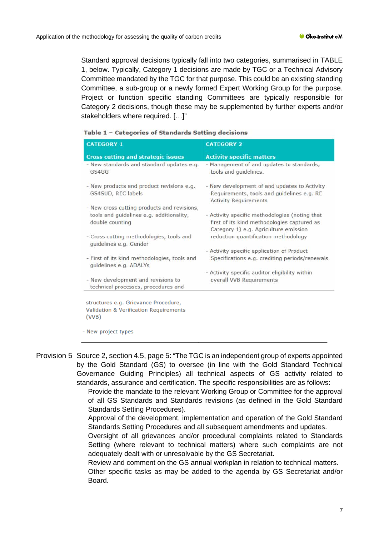Standard approval decisions typically fall into two categories, summarised in TABLE 1, below. Typically, Category 1 decisions are made by TGC or a Technical Advisory Committee mandated by the TGC for that purpose. This could be an existing standing Committee, a sub-group or a newly formed Expert Working Group for the purpose. Project or function specific standing Committees are typically responsible for Category 2 decisions, though these may be supplemented by further experts and/or stakeholders where required. […]"

|  | Table 1 - Categories of Standards Setting decisions |  |  |  |  |
|--|-----------------------------------------------------|--|--|--|--|
|--|-----------------------------------------------------|--|--|--|--|

| <b>CATEGORY 1</b>                                                                                          | <b>CATEGORY 2</b>                                                                                                                      |
|------------------------------------------------------------------------------------------------------------|----------------------------------------------------------------------------------------------------------------------------------------|
| <b>Cross cutting and strategic issues</b>                                                                  | <b>Activity specific matters</b>                                                                                                       |
| - New standards and standard updates e.g.<br>GS4GG                                                         | - Management of and updates to standards,<br>tools and quidelines.                                                                     |
| - New products and product revisions e.g.<br>GS4SUD, REC labels                                            | - New development of and updates to Activity<br>Requirements, tools and guidelines e.g. RE<br><b>Activity Requirements</b>             |
| - New cross cutting products and revisions,<br>tools and guidelines e.g. additionality,<br>double counting | - Activity specific methodologies (noting that<br>first of its kind methodologies captured as<br>Category 1) e.g. Agriculture emission |
| - Cross cutting methodologies, tools and<br>quidelines e.g. Gender                                         | reduction quantification methodology                                                                                                   |
|                                                                                                            | - Activity specific application of Product                                                                                             |
| - First of its kind methodologies, tools and<br>guidelines e.g. ADALYs                                     | Specifications e.g. crediting periods/renewals                                                                                         |
|                                                                                                            | - Activity specific auditor eligibility within                                                                                         |
| - New development and revisions to<br>technical processes, procedures and                                  | overall VVB Requirements                                                                                                               |
|                                                                                                            |                                                                                                                                        |
| structures e.g. Grievance Procedure,                                                                       |                                                                                                                                        |
| <b>Validation &amp; Verification Requirements</b><br>(VVB)                                                 |                                                                                                                                        |

- New project types

Provision 5 Source 2, section 4.5, page 5: "The TGC is an independent group of experts appointed by the Gold Standard (GS) to oversee (in line with the Gold Standard Technical Governance Guiding Principles) all technical aspects of GS activity related to standards, assurance and certification. The specific responsibilities are as follows:

> Provide the mandate to the relevant Working Group or Committee for the approval of all GS Standards and Standards revisions (as defined in the Gold Standard Standards Setting Procedures).

> Approval of the development, implementation and operation of the Gold Standard Standards Setting Procedures and all subsequent amendments and updates.

> Oversight of all grievances and/or procedural complaints related to Standards Setting (where relevant to technical matters) where such complaints are not adequately dealt with or unresolvable by the GS Secretariat.

Review and comment on the GS annual workplan in relation to technical matters.

Other specific tasks as may be added to the agenda by GS Secretariat and/or Board.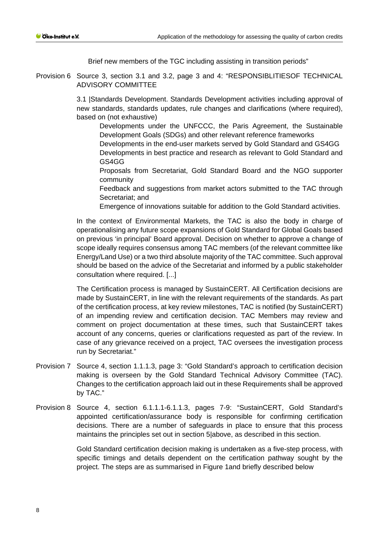Brief new members of the TGC including assisting in transition periods"

Provision 6 Source 3, section 3.1 and 3.2, page 3 and 4: "RESPONSIBLITIESOF TECHNICAL ADVISORY COMMITTEE

> 3.1 |Standards Development. Standards Development activities including approval of new standards, standards updates, rule changes and clarifications (where required), based on (not exhaustive)

Developments under the UNFCCC, the Paris Agreement, the Sustainable Development Goals (SDGs) and other relevant reference frameworks

Developments in the end-user markets served by Gold Standard and GS4GG Developments in best practice and research as relevant to Gold Standard and GS4GG

Proposals from Secretariat, Gold Standard Board and the NGO supporter community

Feedback and suggestions from market actors submitted to the TAC through Secretariat; and

Emergence of innovations suitable for addition to the Gold Standard activities.

In the context of Environmental Markets, the TAC is also the body in charge of operationalising any future scope expansions of Gold Standard for Global Goals based on previous 'in principal' Board approval. Decision on whether to approve a change of scope ideally requires consensus among TAC members (of the relevant committee like Energy/Land Use) or a two third absolute majority of the TAC committee. Such approval should be based on the advice of the Secretariat and informed by a public stakeholder consultation where required. [...]

The Certification process is managed by SustainCERT. All Certification decisions are made by SustainCERT, in line with the relevant requirements of the standards. As part of the certification process, at key review milestones, TAC is notified (by SustainCERT) of an impending review and certification decision. TAC Members may review and comment on project documentation at these times, such that SustainCERT takes account of any concerns, queries or clarifications requested as part of the review. In case of any grievance received on a project, TAC oversees the investigation process run by Secretariat."

- Provision 7 Source 4, section 1.1.1.3, page 3: "Gold Standard's approach to certification decision making is overseen by the Gold Standard Technical Advisory Committee (TAC). Changes to the certification approach laid out in these Requirements shall be approved by TAC."
- Provision 8 Source 4, section 6.1.1.1-6.1.1.3, pages 7-9: "SustainCERT, Gold Standard's appointed certification/assurance body is responsible for confirming certification decisions. There are a number of safeguards in place to ensure that this process maintains the principles set out in section 5|above, as described in this section.

Gold Standard certification decision making is undertaken as a five-step process, with specific timings and details dependent on the certification pathway sought by the project. The steps are as summarised in Figure 1and briefly described below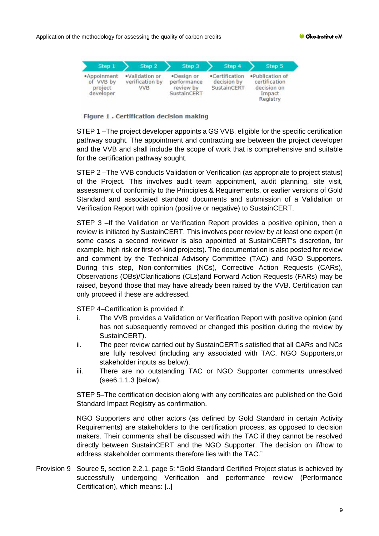

Figure 1 . Certification decision making

STEP 1 –The project developer appoints a GS VVB, eligible for the specific certification pathway sought. The appointment and contracting are between the project developer and the VVB and shall include the scope of work that is comprehensive and suitable for the certification pathway sought.

STEP 2 –The VVB conducts Validation or Verification (as appropriate to project status) of the Project. This involves audit team appointment, audit planning, site visit, assessment of conformity to the Principles & Requirements, or earlier versions of Gold Standard and associated standard documents and submission of a Validation or Verification Report with opinion (positive or negative) to SustainCERT.

STEP 3 –If the Validation or Verification Report provides a positive opinion, then a review is initiated by SustainCERT. This involves peer review by at least one expert (in some cases a second reviewer is also appointed at SustainCERT's discretion, for example, high risk or first-of-kind projects). The documentation is also posted for review and comment by the Technical Advisory Committee (TAC) and NGO Supporters. During this step, Non-conformities (NCs), Corrective Action Requests (CARs), Observations (OBs)/Clarifications (CLs)and Forward Action Requests (FARs) may be raised, beyond those that may have already been raised by the VVB. Certification can only proceed if these are addressed.

STEP 4–Certification is provided if:

- i. The VVB provides a Validation or Verification Report with positive opinion (and has not subsequently removed or changed this position during the review by SustainCERT).
- ii. The peer review carried out by SustainCERTis satisfied that all CARs and NCs are fully resolved (including any associated with TAC, NGO Supporters,or stakeholder inputs as below).
- iii. There are no outstanding TAC or NGO Supporter comments unresolved (see6.1.1.3 |below).

STEP 5–The certification decision along with any certificates are published on the Gold Standard Impact Registry as confirmation.

NGO Supporters and other actors (as defined by Gold Standard in certain Activity Requirements) are stakeholders to the certification process, as opposed to decision makers. Their comments shall be discussed with the TAC if they cannot be resolved directly between SustainCERT and the NGO Supporter. The decision on if/how to address stakeholder comments therefore lies with the TAC."

Provision 9 Source 5, section 2.2.1, page 5: "Gold Standard Certified Project status is achieved by successfully undergoing Verification and performance review (Performance Certification), which means: [..]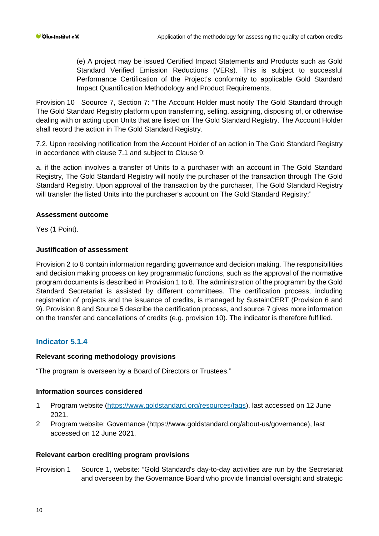(e) A project may be issued Certified Impact Statements and Products such as Gold Standard Verified Emission Reductions (VERs). This is subject to successful Performance Certification of the Project's conformity to applicable Gold Standard Impact Quantification Methodology and Product Requirements.

Provision 10 Soource 7, Section 7: "The Account Holder must notify The Gold Standard through The Gold Standard Registry platform upon transferring, selling, assigning, disposing of, or otherwise dealing with or acting upon Units that are listed on The Gold Standard Registry. The Account Holder shall record the action in The Gold Standard Registry.

7.2. Upon receiving notification from the Account Holder of an action in The Gold Standard Registry in accordance with clause 7.1 and subject to Clause 9:

a. if the action involves a transfer of Units to a purchaser with an account in The Gold Standard Registry, The Gold Standard Registry will notify the purchaser of the transaction through The Gold Standard Registry. Upon approval of the transaction by the purchaser, The Gold Standard Registry will transfer the listed Units into the purchaser's account on The Gold Standard Registry;"

# **Assessment outcome**

Yes (1 Point).

# **Justification of assessment**

Provision 2 to 8 contain information regarding governance and decision making. The responsibilities and decision making process on key programmatic functions, such as the approval of the normative program documents is described in Provision 1 to 8. The administration of the programm by the Gold Standard Secretariat is assisted by different committees. The certification process, including registration of projects and the issuance of credits, is managed by SustainCERT (Provision 6 and 9). Provision 8 and Source 5 describe the certification process, and source 7 gives more information on the transfer and cancellations of credits (e.g. provision 10). The indicator is therefore fulfilled.

# **Indicator 5.1.4**

# **Relevant scoring methodology provisions**

"The program is overseen by a Board of Directors or Trustees."

# **Information sources considered**

- 1 Program website [\(https://www.goldstandard.org/resources/faqs\)](https://www.goldstandard.org/resources/faqs), last accessed on 12 June 2021.
- 2 Program website: Governance (https://www.goldstandard.org/about-us/governance), last accessed on 12 June 2021.

# **Relevant carbon crediting program provisions**

Provision 1 Source 1, website: "Gold Standard's day-to-day activities are run by the Secretariat and overseen by the Governance Board who provide financial oversight and strategic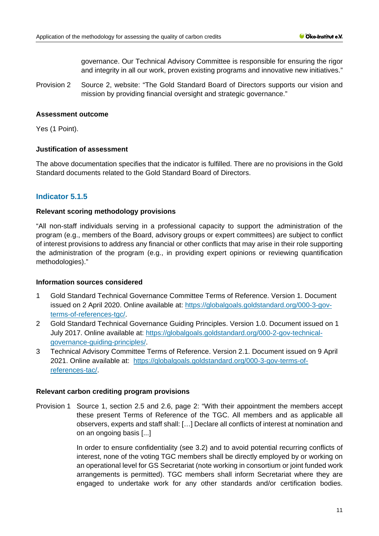governance. Our Technical Advisory Committee is responsible for ensuring the rigor and integrity in all our work, proven existing programs and innovative new initiatives."

Provision 2 Source 2, website: "The Gold Standard Board of Directors supports our vision and mission by providing financial oversight and strategic governance."

#### **Assessment outcome**

Yes (1 Point).

#### **Justification of assessment**

The above documentation specifies that the indicator is fulfilled. There are no provisions in the Gold Standard documents related to the Gold Standard Board of Directors.

# **Indicator 5.1.5**

#### **Relevant scoring methodology provisions**

"All non-staff individuals serving in a professional capacity to support the administration of the program (e.g., members of the Board, advisory groups or expert committees) are subject to conflict of interest provisions to address any financial or other conflicts that may arise in their role supporting the administration of the program (e.g., in providing expert opinions or reviewing quantification methodologies)."

#### **Information sources considered**

- 1 Gold Standard Technical Governance Committee Terms of Reference. Version 1. Document issued on 2 April 2020. Online available at: [https://globalgoals.goldstandard.org/000-3-gov](https://globalgoals.goldstandard.org/000-3-gov-terms-of-references-tgc/)[terms-of-references-tgc/.](https://globalgoals.goldstandard.org/000-3-gov-terms-of-references-tgc/)
- 2 Gold Standard Technical Governance Guiding Principles. Version 1.0. Document issued on 1 July 2017. Online available at: [https://globalgoals.goldstandard.org/000-2-gov-technical](https://globalgoals.goldstandard.org/000-2-gov-technical-governance-guiding-principles/)[governance-guiding-principles/.](https://globalgoals.goldstandard.org/000-2-gov-technical-governance-guiding-principles/)
- 3 Technical Advisory Committee Terms of Reference. Version 2.1. Document issued on 9 April 2021. Online available at: [https://globalgoals.goldstandard.org/000-3-gov-terms-of](https://globalgoals.goldstandard.org/000-3-gov-terms-of-references-tac/)[references-tac/.](https://globalgoals.goldstandard.org/000-3-gov-terms-of-references-tac/)

#### **Relevant carbon crediting program provisions**

Provision 1 Source 1, section 2.5 and 2.6, page 2: "With their appointment the members accept these present Terms of Reference of the TGC. All members and as applicable all observers, experts and staff shall: […] Declare all conflicts of interest at nomination and on an ongoing basis [...]

> In order to ensure confidentiality (see 3.2) and to avoid potential recurring conflicts of interest, none of the voting TGC members shall be directly employed by or working on an operational level for GS Secretariat (note working in consortium or joint funded work arrangements is permitted). TGC members shall inform Secretariat where they are engaged to undertake work for any other standards and/or certification bodies.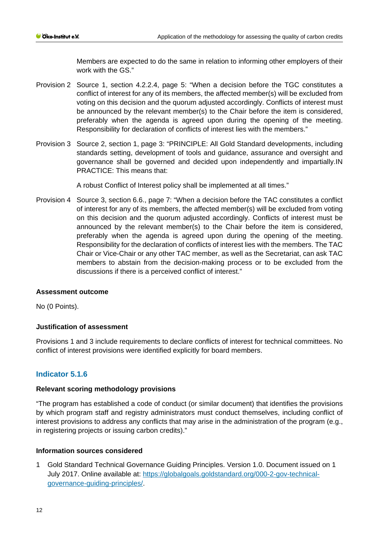Members are expected to do the same in relation to informing other employers of their work with the GS."

- Provision 2 Source 1, section 4.2.2.4, page 5: "When a decision before the TGC constitutes a conflict of interest for any of its members, the affected member(s) will be excluded from voting on this decision and the quorum adjusted accordingly. Conflicts of interest must be announced by the relevant member(s) to the Chair before the item is considered, preferably when the agenda is agreed upon during the opening of the meeting. Responsibility for declaration of conflicts of interest lies with the members."
- Provision 3 Source 2, section 1, page 3: "PRINCIPLE: All Gold Standard developments, including standards setting, development of tools and guidance, assurance and oversight and governance shall be governed and decided upon independently and impartially.IN PRACTICE: This means that:

A robust Conflict of Interest policy shall be implemented at all times."

Provision 4 Source 3, section 6.6., page 7: "When a decision before the TAC constitutes a conflict of interest for any of its members, the affected member(s) will be excluded from voting on this decision and the quorum adjusted accordingly. Conflicts of interest must be announced by the relevant member(s) to the Chair before the item is considered, preferably when the agenda is agreed upon during the opening of the meeting. Responsibility for the declaration of conflicts of interest lies with the members. The TAC Chair or Vice-Chair or any other TAC member, as well as the Secretariat, can ask TAC members to abstain from the decision-making process or to be excluded from the discussions if there is a perceived conflict of interest."

# **Assessment outcome**

No (0 Points).

# **Justification of assessment**

Provisions 1 and 3 include requirements to declare conflicts of interest for technical committees. No conflict of interest provisions were identified explicitly for board members.

# **Indicator 5.1.6**

# **Relevant scoring methodology provisions**

"The program has established a code of conduct (or similar document) that identifies the provisions by which program staff and registry administrators must conduct themselves, including conflict of interest provisions to address any conflicts that may arise in the administration of the program (e.g., in registering projects or issuing carbon credits)."

# **Information sources considered**

1 Gold Standard Technical Governance Guiding Principles. Version 1.0. Document issued on 1 July 2017. Online available at: [https://globalgoals.goldstandard.org/000-2-gov-technical](https://globalgoals.goldstandard.org/000-2-gov-technical-governance-guiding-principles/)[governance-guiding-principles/.](https://globalgoals.goldstandard.org/000-2-gov-technical-governance-guiding-principles/)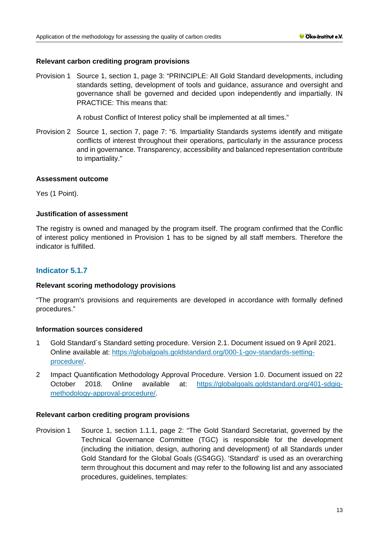#### **Relevant carbon crediting program provisions**

Provision 1 Source 1, section 1, page 3: "PRINCIPLE: All Gold Standard developments, including standards setting, development of tools and guidance, assurance and oversight and governance shall be governed and decided upon independently and impartially. IN PRACTICE: This means that:

A robust Conflict of Interest policy shall be implemented at all times."

Provision 2 Source 1, section 7, page 7: "6. Impartiality Standards systems identify and mitigate conflicts of interest throughout their operations, particularly in the assurance process and in governance. Transparency, accessibility and balanced representation contribute to impartiality."

#### **Assessment outcome**

Yes (1 Point).

#### **Justification of assessment**

The registry is owned and managed by the program itself. The program confirmed that the Conflic of interest policy mentioned in Provision 1 has to be signed by all staff members. Therefore the indicator is fulfilled.

# **Indicator 5.1.7**

#### **Relevant scoring methodology provisions**

"The program's provisions and requirements are developed in accordance with formally defined procedures."

# **Information sources considered**

- 1 Gold Standard´s Standard setting procedure. Version 2.1. Document issued on 9 April 2021. Online available at: [https://globalgoals.goldstandard.org/000-1-gov-standards-setting](https://globalgoals.goldstandard.org/000-1-gov-standards-setting-procedure/)[procedure/.](https://globalgoals.goldstandard.org/000-1-gov-standards-setting-procedure/)
- 2 Impact Quantification Methodology Approval Procedure. Version 1.0. Document issued on 22 October 2018. Online available at: [https://globalgoals.goldstandard.org/401-sdgiq](https://globalgoals.goldstandard.org/401-sdgiq-methodology-approval-procedure/)[methodology-approval-procedure/.](https://globalgoals.goldstandard.org/401-sdgiq-methodology-approval-procedure/)

#### **Relevant carbon crediting program provisions**

Provision 1 Source 1, section 1.1.1, page 2: "The Gold Standard Secretariat, governed by the Technical Governance Committee (TGC) is responsible for the development (including the initiation, design, authoring and development) of all Standards under Gold Standard for the Global Goals (GS4GG). 'Standard' is used as an overarching term throughout this document and may refer to the following list and any associated procedures, guidelines, templates: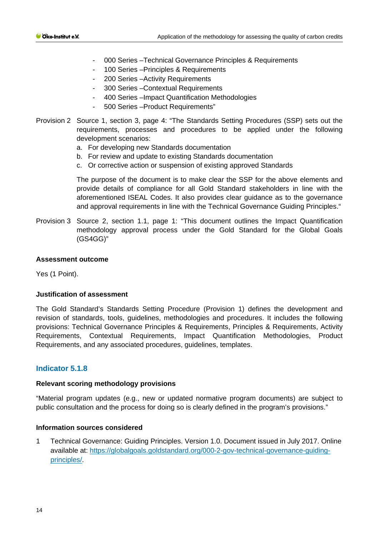- 000 Series –Technical Governance Principles & Requirements
- 100 Series Principles & Requirements
- 200 Series –Activity Requirements
- 300 Series Contextual Requirements
- 400 Series –Impact Quantification Methodologies
- 500 Series Product Requirements"
- Provision 2 Source 1, section 3, page 4: "The Standards Setting Procedures (SSP) sets out the requirements, processes and procedures to be applied under the following development scenarios:
	- a. For developing new Standards documentation
	- b. For review and update to existing Standards documentation
	- c. Or corrective action or suspension of existing approved Standards

The purpose of the document is to make clear the SSP for the above elements and provide details of compliance for all Gold Standard stakeholders in line with the aforementioned ISEAL Codes. It also provides clear guidance as to the governance and approval requirements in line with the Technical Governance Guiding Principles."

Provision 3 Source 2, section 1.1, page 1: "This document outlines the Impact Quantification methodology approval process under the Gold Standard for the Global Goals (GS4GG)"

#### **Assessment outcome**

Yes (1 Point).

#### **Justification of assessment**

The Gold Standard's Standards Setting Procedure (Provision 1) defines the development and revision of standards, tools, guidelines, methodologies and procedures. It includes the following provisions: Technical Governance Principles & Requirements, Principles & Requirements, Activity Requirements, Contextual Requirements, Impact Quantification Methodologies, Product Requirements, and any associated procedures, guidelines, templates.

# **Indicator 5.1.8**

#### **Relevant scoring methodology provisions**

"Material program updates (e.g., new or updated normative program documents) are subject to public consultation and the process for doing so is clearly defined in the program's provisions."

#### **Information sources considered**

1 Technical Governance: Guiding Principles. Version 1.0. Document issued in July 2017. Online available at: [https://globalgoals.goldstandard.org/000-2-gov-technical-governance-guiding](https://globalgoals.goldstandard.org/000-2-gov-technical-governance-guiding-principles/)[principles/.](https://globalgoals.goldstandard.org/000-2-gov-technical-governance-guiding-principles/)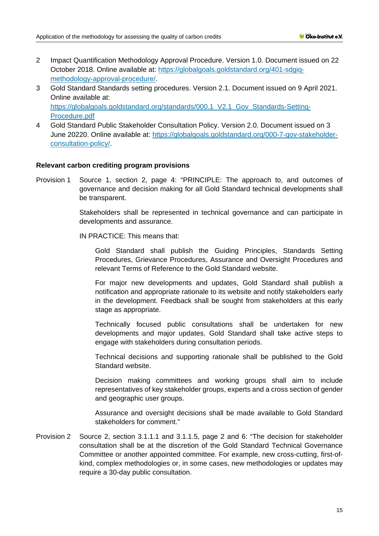- 2 Impact Quantification Methodology Approval Procedure. Version 1.0. Document issued on 22 October 2018. Online available at: [https://globalgoals.goldstandard.org/401-sdgiq](https://globalgoals.goldstandard.org/401-sdgiq-methodology-approval-procedure/)[methodology-approval-procedure/.](https://globalgoals.goldstandard.org/401-sdgiq-methodology-approval-procedure/)
- 3 Gold Standard Standards setting procedures. Version 2.1. Document issued on 9 April 2021. Online available at: https://globalgoals.goldstandard.org/standards/000.1 V2.1 Gov Standards-Setting-[Procedure.pdf](https://globalgoals.goldstandard.org/standards/000.1_V2.1_Gov_Standards-Setting-Procedure.pdf)
- 4 Gold Standard Public Stakeholder Consultation Policy. Version 2.0. Document issued on 3 June 20220. Online available at: [https://globalgoals.goldstandard.org/000-7-gov-stakeholder](https://globalgoals.goldstandard.org/000-7-gov-stakeholder-consultation-policy/)[consultation-policy/.](https://globalgoals.goldstandard.org/000-7-gov-stakeholder-consultation-policy/)

#### **Relevant carbon crediting program provisions**

Provision 1 Source 1, section 2, page 4: "PRINCIPLE: The approach to, and outcomes of governance and decision making for all Gold Standard technical developments shall be transparent.

> Stakeholders shall be represented in technical governance and can participate in developments and assurance.

IN PRACTICE: This means that:

Gold Standard shall publish the Guiding Principles, Standards Setting Procedures, Grievance Procedures, Assurance and Oversight Procedures and relevant Terms of Reference to the Gold Standard website.

For major new developments and updates, Gold Standard shall publish a notification and appropriate rationale to its website and notify stakeholders early in the development. Feedback shall be sought from stakeholders at this early stage as appropriate.

Technically focused public consultations shall be undertaken for new developments and major updates. Gold Standard shall take active steps to engage with stakeholders during consultation periods.

Technical decisions and supporting rationale shall be published to the Gold Standard website.

Decision making committees and working groups shall aim to include representatives of key stakeholder groups, experts and a cross section of gender and geographic user groups.

Assurance and oversight decisions shall be made available to Gold Standard stakeholders for comment."

Provision 2 Source 2, section 3.1.1.1 and 3.1.1.5, page 2 and 6: "The decision for stakeholder consultation shall be at the discretion of the Gold Standard Technical Governance Committee or another appointed committee. For example, new cross-cutting, first-ofkind, complex methodologies or, in some cases, new methodologies or updates may require a 30-day public consultation.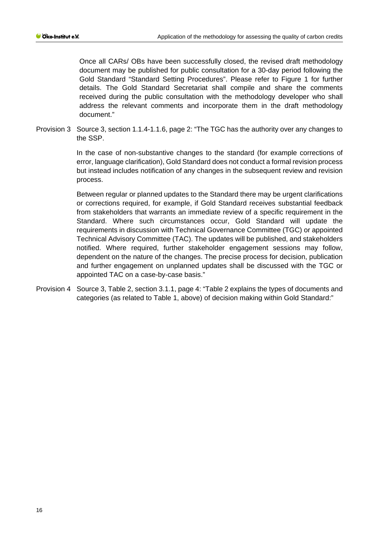Once all CARs/ OBs have been successfully closed, the revised draft methodology document may be published for public consultation for a 30-day period following the Gold Standard "Standard Setting Procedures". Please refer to Figure 1 for further details. The Gold Standard Secretariat shall compile and share the comments received during the public consultation with the methodology developer who shall address the relevant comments and incorporate them in the draft methodology document."

Provision 3 Source 3, section 1.1.4-1.1.6, page 2: "The TGC has the authority over any changes to the SSP.

> In the case of non-substantive changes to the standard (for example corrections of error, language clarification), Gold Standard does not conduct a formal revision process but instead includes notification of any changes in the subsequent review and revision process.

> Between regular or planned updates to the Standard there may be urgent clarifications or corrections required, for example, if Gold Standard receives substantial feedback from stakeholders that warrants an immediate review of a specific requirement in the Standard. Where such circumstances occur, Gold Standard will update the requirements in discussion with Technical Governance Committee (TGC) or appointed Technical Advisory Committee (TAC). The updates will be published, and stakeholders notified. Where required, further stakeholder engagement sessions may follow, dependent on the nature of the changes. The precise process for decision, publication and further engagement on unplanned updates shall be discussed with the TGC or appointed TAC on a case-by-case basis."

Provision 4 Source 3, Table 2, section 3.1.1, page 4: "Table 2 explains the types of documents and categories (as related to Table 1, above) of decision making within Gold Standard:"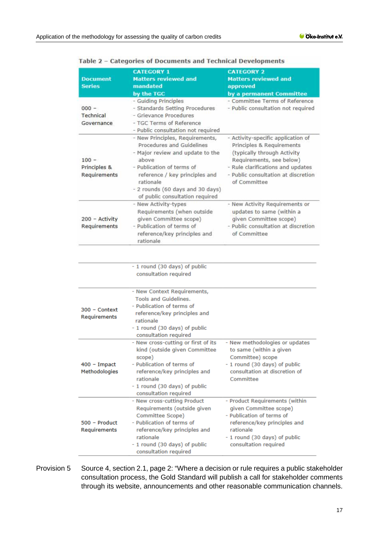|                              | <b>CATEGORY 1</b>                                                    | <b>CATEGORY 2</b>                                                        |
|------------------------------|----------------------------------------------------------------------|--------------------------------------------------------------------------|
| <b>Document</b>              | <b>Matters reviewed and</b>                                          | <b>Matters reviewed and</b>                                              |
| <b>Series</b>                | mandated                                                             | approved                                                                 |
|                              | by the TGC                                                           | by a permanent Committee                                                 |
|                              | - Guiding Principles                                                 | - Committee Terms of Reference                                           |
| $000 -$                      | - Standards Setting Procedures                                       | - Public consultation not required                                       |
| Technical                    | - Grievance Procedures                                               |                                                                          |
| Governance                   | - TGC Terms of Reference                                             |                                                                          |
|                              | - Public consultation not required                                   |                                                                          |
|                              | - New Principles, Requirements,<br>Procedures and Guidelines         | - Activity-specific application of<br>Principles & Requirements          |
|                              | - Major review and update to the                                     | (typically through Activity                                              |
| $100 -$                      | above                                                                | Requirements, see below)                                                 |
| Principles &<br>Requirements | - Publication of terms of<br>reference / key principles and          | - Rule clarifications and updates<br>- Public consultation at discretion |
|                              | rationale                                                            | of Committee                                                             |
|                              | - 2 rounds (60 days and 30 days)<br>of public consultation required  |                                                                          |
|                              | - New Activity-types                                                 | - New Activity Requirements or                                           |
|                              | Requirements (when outside                                           | updates to same (within a                                                |
| 200 - Activity               | given Committee scope)                                               | given Committee scope)                                                   |
| Requirements                 | - Publication of terms of                                            | - Public consultation at discretion                                      |
|                              | reference/key principles and                                         | of Committee                                                             |
|                              | rationale                                                            |                                                                          |
|                              | consultation required                                                |                                                                          |
|                              | - New Context Requirements,                                          |                                                                          |
|                              | <b>Tools and Guidelines.</b>                                         |                                                                          |
| $300 -$ Context              | - Publication of terms of                                            |                                                                          |
| Requirements                 | reference/key principles and                                         |                                                                          |
|                              | rationale                                                            |                                                                          |
|                              | - 1 round (30 days) of public                                        |                                                                          |
|                              | consultation required                                                |                                                                          |
|                              | - New cross-cutting or first of its<br>kind (outside given Committee | - New methodologies or updates<br>to same (within a given                |
|                              | scope)                                                               | Committee) scope                                                         |
| $400 -$ Impact               | - Publication of terms of                                            | - 1 round (30 days) of public                                            |
| Methodologies                | reference/key principles and                                         | consultation at discretion of                                            |
|                              | rationale                                                            | Committee                                                                |
|                              | - 1 round (30 days) of public                                        |                                                                          |
|                              | consultation required                                                |                                                                          |
|                              | - New cross-cutting Product                                          | - Product Requirements (within                                           |
|                              | Requirements (outside given                                          | given Committee scope)                                                   |
|                              | Committee Scope)                                                     | - Publication of terms of                                                |
| 500 - Product                | - Publication of terms of                                            | reference/key principles and                                             |
| Requirements                 | reference/key principles and                                         | rationale                                                                |
|                              | rationale                                                            | - 1 round (30 days) of public                                            |
|                              | - 1 round (30 days) of public                                        | consultation required                                                    |
|                              | consultation required                                                |                                                                          |

Table 2 - Categories of Documents and Technical Developments

Provision 5 Source 4, section 2.1, page 2: "Where a decision or rule requires a public stakeholder consultation process, the Gold Standard will publish a call for stakeholder comments through its website, announcements and other reasonable communication channels.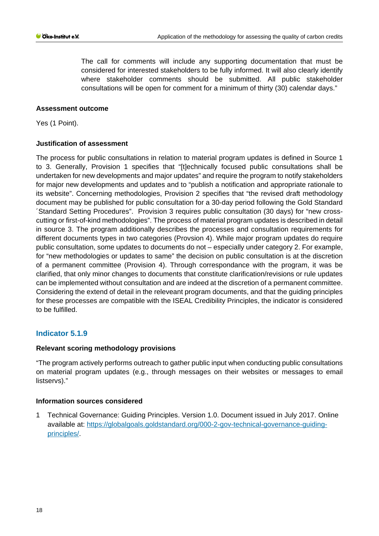The call for comments will include any supporting documentation that must be considered for interested stakeholders to be fully informed. It will also clearly identify where stakeholder comments should be submitted. All public stakeholder consultations will be open for comment for a minimum of thirty (30) calendar days."

# **Assessment outcome**

Yes (1 Point).

# **Justification of assessment**

The process for public consultations in relation to material program updates is defined in Source 1 to 3. Generally, Provision 1 specifies that "[t]echnically focused public consultations shall be undertaken for new developments and major updates" and require the program to notify stakeholders for major new developments and updates and to "publish a notification and appropriate rationale to its website". Concerning methodologies, Provision 2 specifies that "the revised draft methodology document may be published for public consultation for a 30-day period following the Gold Standard ´Standard Setting Procedures". Provision 3 requires public consultation (30 days) for "new crosscutting or first-of-kind methodologies". The process of material program updates is described in detail in source 3. The program additionally describes the processes and consultation requirements for different documents types in two categories (Provsion 4). While major program updates do require public consultation, some updates to documents do not – especially under category 2. For example, for "new methodologies or updates to same" the decision on public consultation is at the discretion of a permanent committee (Provision 4). Through correspondance with the program, it was be clarified, that only minor changes to documents that constitute clarification/revisions or rule updates can be implemented without consultation and are indeed at the discretion of a permanent committee. Considering the extend of detail in the releveant program documents, and that the guiding principles for these processes are compatible with the ISEAL Credibility Principles, the indicator is considered to be fulfilled.

# **Indicator 5.1.9**

# **Relevant scoring methodology provisions**

"The program actively performs outreach to gather public input when conducting public consultations on material program updates (e.g., through messages on their websites or messages to email listservs)."

# **Information sources considered**

1 Technical Governance: Guiding Principles. Version 1.0. Document issued in July 2017. Online available at: [https://globalgoals.goldstandard.org/000-2-gov-technical-governance-guiding](https://globalgoals.goldstandard.org/000-2-gov-technical-governance-guiding-principles/)[principles/.](https://globalgoals.goldstandard.org/000-2-gov-technical-governance-guiding-principles/)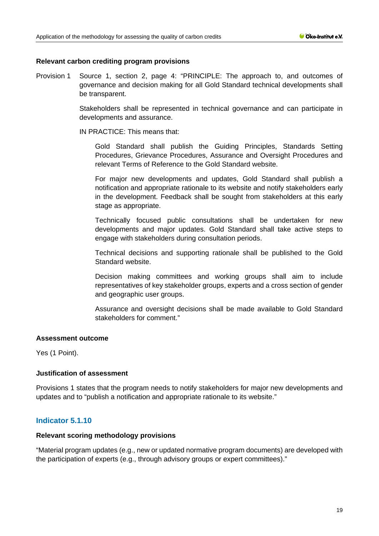#### **Relevant carbon crediting program provisions**

Provision 1 Source 1, section 2, page 4: "PRINCIPLE: The approach to, and outcomes of governance and decision making for all Gold Standard technical developments shall be transparent.

> Stakeholders shall be represented in technical governance and can participate in developments and assurance.

IN PRACTICE: This means that:

Gold Standard shall publish the Guiding Principles, Standards Setting Procedures, Grievance Procedures, Assurance and Oversight Procedures and relevant Terms of Reference to the Gold Standard website.

For major new developments and updates, Gold Standard shall publish a notification and appropriate rationale to its website and notify stakeholders early in the development. Feedback shall be sought from stakeholders at this early stage as appropriate.

Technically focused public consultations shall be undertaken for new developments and major updates. Gold Standard shall take active steps to engage with stakeholders during consultation periods.

Technical decisions and supporting rationale shall be published to the Gold Standard website.

Decision making committees and working groups shall aim to include representatives of key stakeholder groups, experts and a cross section of gender and geographic user groups.

Assurance and oversight decisions shall be made available to Gold Standard stakeholders for comment."

# **Assessment outcome**

Yes (1 Point).

# **Justification of assessment**

Provisions 1 states that the program needs to notify stakeholders for major new developments and updates and to "publish a notification and appropriate rationale to its website."

# **Indicator 5.1.10**

#### **Relevant scoring methodology provisions**

"Material program updates (e.g., new or updated normative program documents) are developed with the participation of experts (e.g., through advisory groups or expert committees)."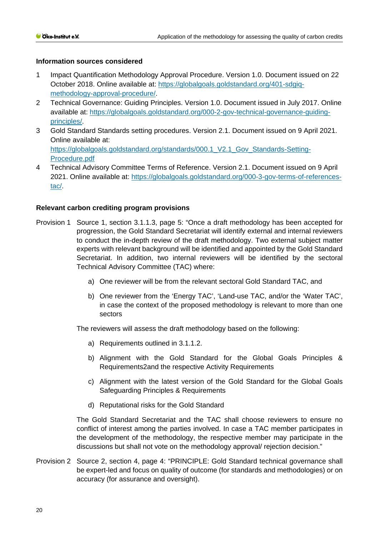# **Information sources considered**

- 1 Impact Quantification Methodology Approval Procedure. Version 1.0. Document issued on 22 October 2018. Online available at: [https://globalgoals.goldstandard.org/401-sdgiq](https://globalgoals.goldstandard.org/401-sdgiq-methodology-approval-procedure/)[methodology-approval-procedure/.](https://globalgoals.goldstandard.org/401-sdgiq-methodology-approval-procedure/)
- 2 Technical Governance: Guiding Principles. Version 1.0. Document issued in July 2017. Online available at: [https://globalgoals.goldstandard.org/000-2-gov-technical-governance-guiding](https://globalgoals.goldstandard.org/000-2-gov-technical-governance-guiding-principles/)[principles/.](https://globalgoals.goldstandard.org/000-2-gov-technical-governance-guiding-principles/)
- 3 Gold Standard Standards setting procedures. Version 2.1. Document issued on 9 April 2021. Online available at: https://globalgoals.goldstandard.org/standards/000.1 V2.1 Gov\_Standards-Setting-[Procedure.pdf](https://globalgoals.goldstandard.org/standards/000.1_V2.1_Gov_Standards-Setting-Procedure.pdf)
- 4 Technical Advisory Committee Terms of Reference. Version 2.1. Document issued on 9 April 2021. Online available at: [https://globalgoals.goldstandard.org/000-3-gov-terms-of-references](https://globalgoals.goldstandard.org/000-3-gov-terms-of-references-tac/)[tac/.](https://globalgoals.goldstandard.org/000-3-gov-terms-of-references-tac/)

#### **Relevant carbon crediting program provisions**

- Provision 1 Source 1, section 3.1.1.3, page 5: "Once a draft methodology has been accepted for progression, the Gold Standard Secretariat will identify external and internal reviewers to conduct the in-depth review of the draft methodology. Two external subject matter experts with relevant background will be identified and appointed by the Gold Standard Secretariat. In addition, two internal reviewers will be identified by the sectoral Technical Advisory Committee (TAC) where:
	- a) One reviewer will be from the relevant sectoral Gold Standard TAC, and
	- b) One reviewer from the 'Energy TAC', 'Land-use TAC, and/or the 'Water TAC', in case the context of the proposed methodology is relevant to more than one sectors

The reviewers will assess the draft methodology based on the following:

- a) Requirements outlined in 3.1.1.2.
- b) Alignment with the Gold Standard for the Global Goals Principles & Requirements2and the respective Activity Requirements
- c) Alignment with the latest version of the Gold Standard for the Global Goals Safeguarding Principles & Requirements
- d) Reputational risks for the Gold Standard

The Gold Standard Secretariat and the TAC shall choose reviewers to ensure no conflict of interest among the parties involved. In case a TAC member participates in the development of the methodology, the respective member may participate in the discussions but shall not vote on the methodology approval/ rejection decision."

Provision 2 Source 2, section 4, page 4: "PRINCIPLE: Gold Standard technical governance shall be expert-led and focus on quality of outcome (for standards and methodologies) or on accuracy (for assurance and oversight).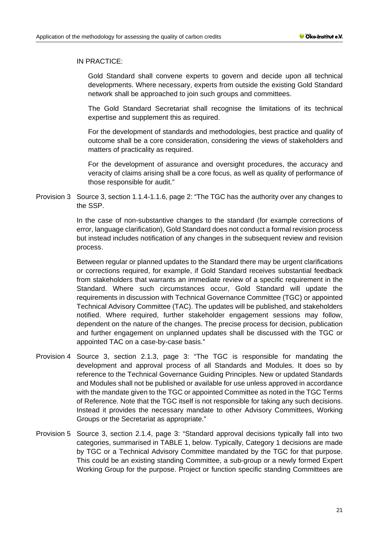#### IN PRACTICE:

Gold Standard shall convene experts to govern and decide upon all technical developments. Where necessary, experts from outside the existing Gold Standard network shall be approached to join such groups and committees.

The Gold Standard Secretariat shall recognise the limitations of its technical expertise and supplement this as required.

For the development of standards and methodologies, best practice and quality of outcome shall be a core consideration, considering the views of stakeholders and matters of practicality as required.

For the development of assurance and oversight procedures, the accuracy and veracity of claims arising shall be a core focus, as well as quality of performance of those responsible for audit."

Provision 3 Source 3, section 1.1.4-1.1.6, page 2: "The TGC has the authority over any changes to the SSP.

> In the case of non-substantive changes to the standard (for example corrections of error, language clarification), Gold Standard does not conduct a formal revision process but instead includes notification of any changes in the subsequent review and revision process.

> Between regular or planned updates to the Standard there may be urgent clarifications or corrections required, for example, if Gold Standard receives substantial feedback from stakeholders that warrants an immediate review of a specific requirement in the Standard. Where such circumstances occur, Gold Standard will update the requirements in discussion with Technical Governance Committee (TGC) or appointed Technical Advisory Committee (TAC). The updates will be published, and stakeholders notified. Where required, further stakeholder engagement sessions may follow, dependent on the nature of the changes. The precise process for decision, publication and further engagement on unplanned updates shall be discussed with the TGC or appointed TAC on a case-by-case basis."

- Provision 4 Source 3, section 2.1.3, page 3: "The TGC is responsible for mandating the development and approval process of all Standards and Modules. It does so by reference to the Technical Governance Guiding Principles. New or updated Standards and Modules shall not be published or available for use unless approved in accordance with the mandate given to the TGC or appointed Committee as noted in the TGC Terms of Reference. Note that the TGC itself is not responsible for taking any such decisions. Instead it provides the necessary mandate to other Advisory Committees, Working Groups or the Secretariat as appropriate."
- Provision 5 Source 3, section 2.1.4, page 3: "Standard approval decisions typically fall into two categories, summarised in TABLE 1, below. Typically, Category 1 decisions are made by TGC or a Technical Advisory Committee mandated by the TGC for that purpose. This could be an existing standing Committee, a sub-group or a newly formed Expert Working Group for the purpose. Project or function specific standing Committees are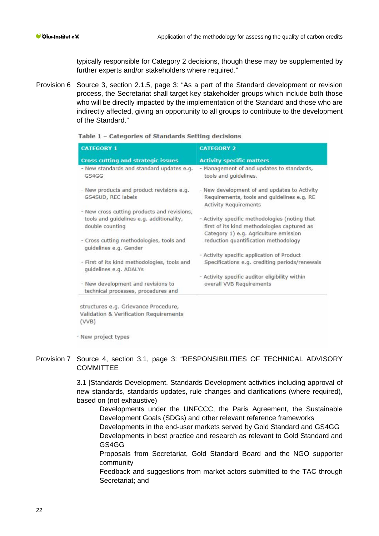typically responsible for Category 2 decisions, though these may be supplemented by further experts and/or stakeholders where required."

Provision 6 Source 3, section 2.1.5, page 3: "As a part of the Standard development or revision process, the Secretariat shall target key stakeholder groups which include both those who will be directly impacted by the implementation of the Standard and those who are indirectly affected, giving an opportunity to all groups to contribute to the development of the Standard."

| <b>CATEGORY 1</b>                                                                                          | <b>CATEGORY 2</b>                                                                                                                      |
|------------------------------------------------------------------------------------------------------------|----------------------------------------------------------------------------------------------------------------------------------------|
| <b>Cross cutting and strategic issues</b>                                                                  | <b>Activity specific matters</b>                                                                                                       |
| - New standards and standard updates e.g.<br>GS4GG                                                         | - Management of and updates to standards,<br>tools and quidelines.                                                                     |
| - New products and product revisions e.g.<br>GS4SUD, REC labels                                            | - New development of and updates to Activity<br>Requirements, tools and guidelines e.g. RE<br><b>Activity Requirements</b>             |
| - New cross cutting products and revisions,<br>tools and guidelines e.g. additionality,<br>double counting | - Activity specific methodologies (noting that<br>first of its kind methodologies captured as<br>Category 1) e.g. Agriculture emission |
| - Cross cutting methodologies, tools and<br>quidelines e.g. Gender                                         | reduction quantification methodology                                                                                                   |
|                                                                                                            | - Activity specific application of Product                                                                                             |
| - First of its kind methodologies, tools and<br>quidelines e.g. ADALYs                                     | Specifications e.g. crediting periods/renewals                                                                                         |
|                                                                                                            | - Activity specific auditor eligibility within                                                                                         |
| - New development and revisions to<br>technical processes, procedures and                                  | overall VVB Requirements                                                                                                               |

Table 1 - Categories of Standards Setting decisions

- New project types

 $(VVB)$ 

Validation & Verification Requirements

# Provision 7 Source 4, section 3.1, page 3: "RESPONSIBILITIES OF TECHNICAL ADVISORY **COMMITTEE**

3.1 |Standards Development. Standards Development activities including approval of new standards, standards updates, rule changes and clarifications (where required), based on (not exhaustive)

Developments under the UNFCCC, the Paris Agreement, the Sustainable Development Goals (SDGs) and other relevant reference frameworks Developments in the end-user markets served by Gold Standard and GS4GG Developments in best practice and research as relevant to Gold Standard and GS4GG

Proposals from Secretariat, Gold Standard Board and the NGO supporter community

Feedback and suggestions from market actors submitted to the TAC through Secretariat; and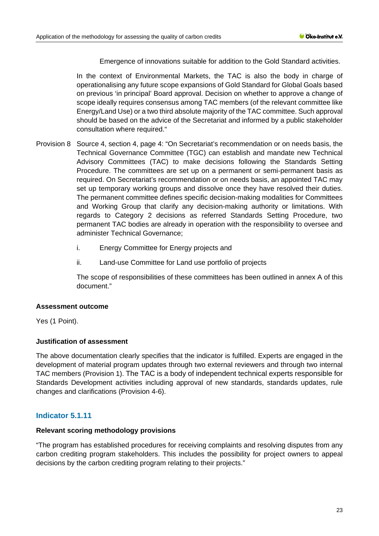Emergence of innovations suitable for addition to the Gold Standard activities.

In the context of Environmental Markets, the TAC is also the body in charge of operationalising any future scope expansions of Gold Standard for Global Goals based on previous 'in principal' Board approval. Decision on whether to approve a change of scope ideally requires consensus among TAC members (of the relevant committee like Energy/Land Use) or a two third absolute majority of the TAC committee. Such approval should be based on the advice of the Secretariat and informed by a public stakeholder consultation where required."

- Provision 8 Source 4, section 4, page 4: "On Secretariat's recommendation or on needs basis, the Technical Governance Committee (TGC) can establish and mandate new Technical Advisory Committees (TAC) to make decisions following the Standards Setting Procedure. The committees are set up on a permanent or semi-permanent basis as required. On Secretariat's recommendation or on needs basis, an appointed TAC may set up temporary working groups and dissolve once they have resolved their duties. The permanent committee defines specific decision-making modalities for Committees and Working Group that clarify any decision-making authority or limitations. With regards to Category 2 decisions as referred Standards Setting Procedure, two permanent TAC bodies are already in operation with the responsibility to oversee and administer Technical Governance;
	- i. Energy Committee for Energy projects and
	- ii. Land-use Committee for Land use portfolio of projects

The scope of responsibilities of these committees has been outlined in annex A of this document."

#### **Assessment outcome**

Yes (1 Point).

# **Justification of assessment**

The above documentation clearly specifies that the indicator is fulfilled. Experts are engaged in the development of material program updates through two external reviewers and through two internal TAC members (Provision 1). The TAC is a body of independent technical experts responsible for Standards Development activities including approval of new standards, standards updates, rule changes and clarifications (Provision 4-6).

# **Indicator 5.1.11**

#### **Relevant scoring methodology provisions**

"The program has established procedures for receiving complaints and resolving disputes from any carbon crediting program stakeholders. This includes the possibility for project owners to appeal decisions by the carbon crediting program relating to their projects."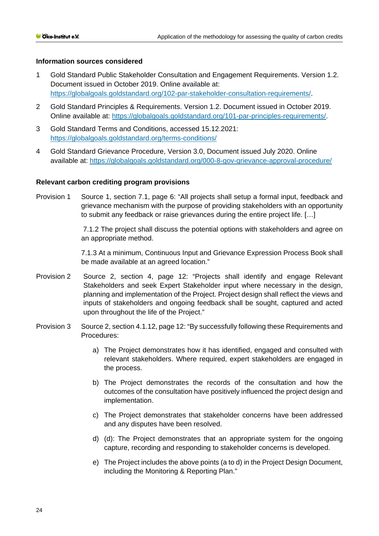#### **Information sources considered**

- 1 Gold Standard Public Stakeholder Consultation and Engagement Requirements. Version 1.2. Document issued in October 2019. Online available at: [https://globalgoals.goldstandard.org/102-par-stakeholder-consultation-requirements/.](https://globalgoals.goldstandard.org/000-7-gov-stakeholder-consultation-policy/)
- 2 Gold Standard Principles & Requirements. Version 1.2. Document issued in October 2019. Online available at: [https://globalgoals.goldstandard.org/101-par-principles-requirements/.](https://globalgoals.goldstandard.org/101-par-principles-requirements/)
- 3 Gold Standard Terms and Conditions, accessed 15.12.2021: <https://globalgoals.goldstandard.org/terms-conditions/>
- 4 Gold Standard Grievance Procedure, Version 3.0, Document issued July 2020. Online available at:<https://globalgoals.goldstandard.org/000-8-gov-grievance-approval-procedure/>

#### **Relevant carbon crediting program provisions**

Provision 1 Source 1, section 7.1, page 6: "All projects shall setup a formal input, feedback and grievance mechanism with the purpose of providing stakeholders with an opportunity to submit any feedback or raise grievances during the entire project life. […]

> 7.1.2 The project shall discuss the potential options with stakeholders and agree on an appropriate method.

> 7.1.3 At a minimum, Continuous Input and Grievance Expression Process Book shall be made available at an agreed location."

- Provision 2 Source 2, section 4, page 12: "Projects shall identify and engage Relevant Stakeholders and seek Expert Stakeholder input where necessary in the design, planning and implementation of the Project. Project design shall reflect the views and inputs of stakeholders and ongoing feedback shall be sought, captured and acted upon throughout the life of the Project."
- Provision 3 Source 2, section 4.1.12, page 12: "By successfully following these Requirements and Procedures:
	- a) The Project demonstrates how it has identified, engaged and consulted with relevant stakeholders. Where required, expert stakeholders are engaged in the process.
	- b) The Project demonstrates the records of the consultation and how the outcomes of the consultation have positively influenced the project design and implementation.
	- c) The Project demonstrates that stakeholder concerns have been addressed and any disputes have been resolved.
	- d) (d): The Project demonstrates that an appropriate system for the ongoing capture, recording and responding to stakeholder concerns is developed.
	- e) The Project includes the above points (a to d) in the Project Design Document, including the Monitoring & Reporting Plan."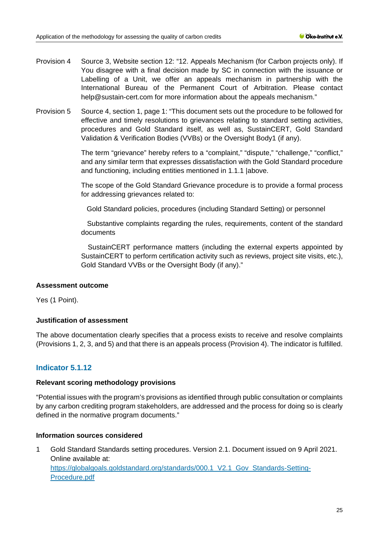- Provision 4 Source 3, Website section 12: "12. Appeals Mechanism (for Carbon projects only). If You disagree with a final decision made by SC in connection with the issuance or Labelling of a Unit, we offer an appeals mechanism in partnership with the International Bureau of the Permanent Court of Arbitration. Please contact help@sustain-cert.com for more information about the appeals mechanism."
- Provision 5 Source 4, section 1, page 1: "This document sets out the procedure to be followed for effective and timely resolutions to grievances relating to standard setting activities, procedures and Gold Standard itself, as well as, SustainCERT, Gold Standard Validation & Verification Bodies (VVBs) or the Oversight Body1 (if any).

The term "grievance" hereby refers to a "complaint," "dispute," "challenge," "conflict," and any similar term that expresses dissatisfaction with the Gold Standard procedure and functioning, including entities mentioned in 1.1.1 |above.

The scope of the Gold Standard Grievance procedure is to provide a formal process for addressing grievances related to:

Gold Standard policies, procedures (including Standard Setting) or personnel

Substantive complaints regarding the rules, requirements, content of the standard documents

SustainCERT performance matters (including the external experts appointed by SustainCERT to perform certification activity such as reviews, project site visits, etc.), Gold Standard VVBs or the Oversight Body (if any)."

# **Assessment outcome**

Yes (1 Point).

# **Justification of assessment**

The above documentation clearly specifies that a process exists to receive and resolve complaints (Provisions 1, 2, 3, and 5) and that there is an appeals process (Provision 4). The indicator is fulfilled.

# **Indicator 5.1.12**

#### **Relevant scoring methodology provisions**

"Potential issues with the program's provisions as identified through public consultation or complaints by any carbon crediting program stakeholders, are addressed and the process for doing so is clearly defined in the normative program documents."

# **Information sources considered**

1 Gold Standard Standards setting procedures. Version 2.1. Document issued on 9 April 2021. Online available at: https://globalgoals.goldstandard.org/standards/000.1 V2.1 Gov\_Standards-Setting-[Procedure.pdf](https://globalgoals.goldstandard.org/standards/000.1_V2.1_Gov_Standards-Setting-Procedure.pdf)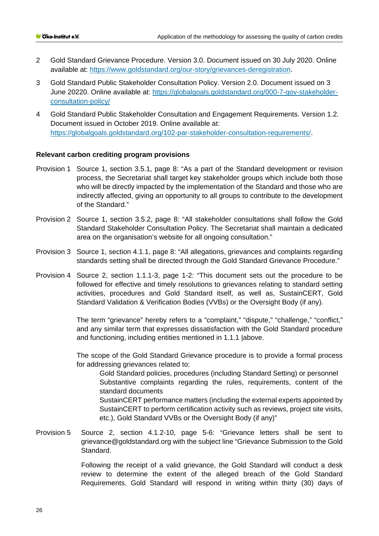- 2 Gold Standard Grievance Procedure. Version 3.0. Document issued on 30 July 2020. Online available at: [https://www.goldstandard.org/our-story/grievances-deregistration.](https://www.goldstandard.org/our-story/grievances-deregistration)
- 3 Gold Standard Public Stakeholder Consultation Policy. Version 2.0. Document issued on 3 June 20220. Online available at: [https://globalgoals.goldstandard.org/000-7-gov-stakeholder](https://globalgoals.goldstandard.org/000-7-gov-stakeholder-consultation-policy/)[consultation-policy/](https://globalgoals.goldstandard.org/000-7-gov-stakeholder-consultation-policy/)
- 4 Gold Standard Public Stakeholder Consultation and Engagement Requirements. Version 1.2. Document issued in October 2019. Online available at: [https://globalgoals.goldstandard.org/102-par-stakeholder-consultation-requirements/.](https://globalgoals.goldstandard.org/000-7-gov-stakeholder-consultation-policy/)

# **Relevant carbon crediting program provisions**

- Provision 1 Source 1, section 3.5.1, page 8: "As a part of the Standard development or revision process, the Secretariat shall target key stakeholder groups which include both those who will be directly impacted by the implementation of the Standard and those who are indirectly affected, giving an opportunity to all groups to contribute to the development of the Standard."
- Provision 2 Source 1, section 3.5.2, page 8: "All stakeholder consultations shall follow the Gold Standard Stakeholder Consultation Policy. The Secretariat shall maintain a dedicated area on the organisation's website for all ongoing consultation."
- Provision 3 Source 1, section 4.1.1, page 8: "All allegations, grievances and complaints regarding standards setting shall be directed through the Gold Standard Grievance Procedure."
- Provision 4 Source 2, section 1.1.1-3, page 1-2: "This document sets out the procedure to be followed for effective and timely resolutions to grievances relating to standard setting activities, procedures and Gold Standard itself, as well as, SustainCERT, Gold Standard Validation & Verification Bodies (VVBs) or the Oversight Body (if any).

The term "grievance" hereby refers to a "complaint," "dispute," "challenge," "conflict," and any similar term that expresses dissatisfaction with the Gold Standard procedure and functioning, including entities mentioned in 1.1.1 |above.

The scope of the Gold Standard Grievance procedure is to provide a formal process for addressing grievances related to:

Gold Standard policies, procedures (including Standard Setting) or personnel Substantive complaints regarding the rules, requirements, content of the standard documents SustainCERT performance matters (including the external experts appointed by SustainCERT to perform certification activity such as reviews, project site visits, etc.), Gold Standard VVBs or the Oversight Body (if any)"

Provision 5 Source 2, section 4.1.2-10, page 5-6: "Grievance letters shall be sent to grievance@goldstandard.org with the subject line "Grievance Submission to the Gold Standard.

> Following the receipt of a valid grievance, the Gold Standard will conduct a desk review to determine the extent of the alleged breach of the Gold Standard Requirements. Gold Standard will respond in writing within thirty (30) days of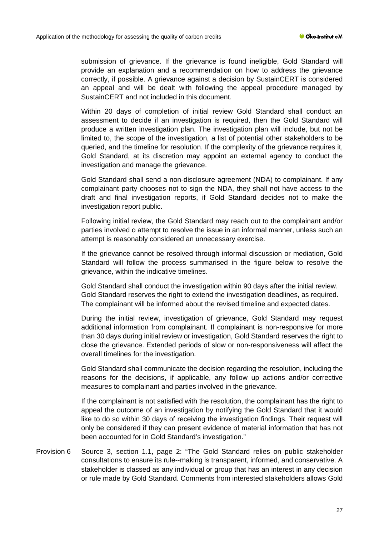submission of grievance. If the grievance is found ineligible, Gold Standard will provide an explanation and a recommendation on how to address the grievance correctly, if possible. A grievance against a decision by SustainCERT is considered an appeal and will be dealt with following the appeal procedure managed by SustainCERT and not included in this document.

Within 20 days of completion of initial review Gold Standard shall conduct an assessment to decide if an investigation is required, then the Gold Standard will produce a written investigation plan. The investigation plan will include, but not be limited to, the scope of the investigation, a list of potential other stakeholders to be queried, and the timeline for resolution. If the complexity of the grievance requires it, Gold Standard, at its discretion may appoint an external agency to conduct the investigation and manage the grievance.

Gold Standard shall send a non-disclosure agreement (NDA) to complainant. If any complainant party chooses not to sign the NDA, they shall not have access to the draft and final investigation reports, if Gold Standard decides not to make the investigation report public.

Following initial review, the Gold Standard may reach out to the complainant and/or parties involved o attempt to resolve the issue in an informal manner, unless such an attempt is reasonably considered an unnecessary exercise.

If the grievance cannot be resolved through informal discussion or mediation, Gold Standard will follow the process summarised in the figure below to resolve the grievance, within the indicative timelines.

Gold Standard shall conduct the investigation within 90 days after the initial review. Gold Standard reserves the right to extend the investigation deadlines, as required. The complainant will be informed about the revised timeline and expected dates.

During the initial review, investigation of grievance, Gold Standard may request additional information from complainant. If complainant is non-responsive for more than 30 days during initial review or investigation, Gold Standard reserves the right to close the grievance. Extended periods of slow or non-responsiveness will affect the overall timelines for the investigation.

Gold Standard shall communicate the decision regarding the resolution, including the reasons for the decisions, if applicable, any follow up actions and/or corrective measures to complainant and parties involved in the grievance.

If the complainant is not satisfied with the resolution, the complainant has the right to appeal the outcome of an investigation by notifying the Gold Standard that it would like to do so within 30 days of receiving the investigation findings. Their request will only be considered if they can present evidence of material information that has not been accounted for in Gold Standard's investigation."

Provision 6 Source 3, section 1.1, page 2: "The Gold Standard relies on public stakeholder consultations to ensure its rule--making is transparent, informed, and conservative. A stakeholder is classed as any individual or group that has an interest in any decision or rule made by Gold Standard. Comments from interested stakeholders allows Gold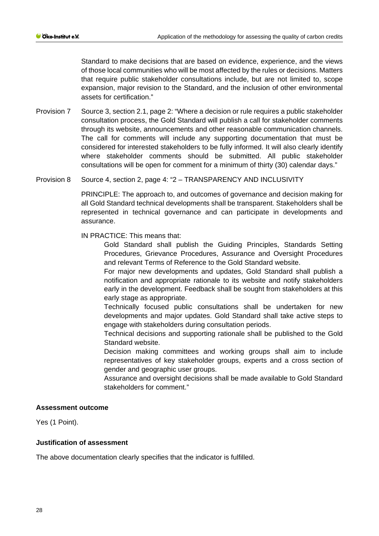Standard to make decisions that are based on evidence, experience, and the views of those local communities who will be most affected by the rules or decisions. Matters that require public stakeholder consultations include, but are not limited to, scope expansion, major revision to the Standard, and the inclusion of other environmental assets for certification."

Provision 7 Source 3, section 2.1, page 2: "Where a decision or rule requires a public stakeholder consultation process, the Gold Standard will publish a call for stakeholder comments through its website, announcements and other reasonable communication channels. The call for comments will include any supporting documentation that must be considered for interested stakeholders to be fully informed. It will also clearly identify where stakeholder comments should be submitted. All public stakeholder consultations will be open for comment for a minimum of thirty (30) calendar days."

#### Provision 8 Source 4, section 2, page 4: "2 – TRANSPARENCY AND INCLUSIVITY

PRINCIPLE: The approach to, and outcomes of governance and decision making for all Gold Standard technical developments shall be transparent. Stakeholders shall be represented in technical governance and can participate in developments and assurance.

IN PRACTICE: This means that:

Gold Standard shall publish the Guiding Principles, Standards Setting Procedures, Grievance Procedures, Assurance and Oversight Procedures and relevant Terms of Reference to the Gold Standard website.

For major new developments and updates, Gold Standard shall publish a notification and appropriate rationale to its website and notify stakeholders early in the development. Feedback shall be sought from stakeholders at this early stage as appropriate.

Technically focused public consultations shall be undertaken for new developments and major updates. Gold Standard shall take active steps to engage with stakeholders during consultation periods.

Technical decisions and supporting rationale shall be published to the Gold Standard website.

Decision making committees and working groups shall aim to include representatives of key stakeholder groups, experts and a cross section of gender and geographic user groups.

Assurance and oversight decisions shall be made available to Gold Standard stakeholders for comment."

#### **Assessment outcome**

Yes (1 Point).

# **Justification of assessment**

The above documentation clearly specifies that the indicator is fulfilled.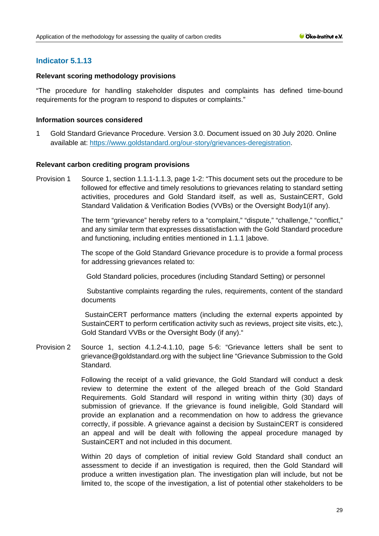# **Indicator 5.1.13**

#### **Relevant scoring methodology provisions**

"The procedure for handling stakeholder disputes and complaints has defined time-bound requirements for the program to respond to disputes or complaints."

#### **Information sources considered**

1 Gold Standard Grievance Procedure. Version 3.0. Document issued on 30 July 2020. Online available at: [https://www.goldstandard.org/our-story/grievances-deregistration.](https://www.goldstandard.org/our-story/grievances-deregistration)

#### **Relevant carbon crediting program provisions**

Provision 1 Source 1, section 1.1.1-1.1.3, page 1-2: "This document sets out the procedure to be followed for effective and timely resolutions to grievances relating to standard setting activities, procedures and Gold Standard itself, as well as, SustainCERT, Gold Standard Validation & Verification Bodies (VVBs) or the Oversight Body1(if any).

> The term "grievance" hereby refers to a "complaint," "dispute," "challenge," "conflict," and any similar term that expresses dissatisfaction with the Gold Standard procedure and functioning, including entities mentioned in 1.1.1 |above.

> The scope of the Gold Standard Grievance procedure is to provide a formal process for addressing grievances related to:

Gold Standard policies, procedures (including Standard Setting) or personnel

Substantive complaints regarding the rules, requirements, content of the standard documents

SustainCERT performance matters (including the external experts appointed by SustainCERT to perform certification activity such as reviews, project site visits, etc.), Gold Standard VVBs or the Oversight Body (if any)."

Provision 2 Source 1, section 4.1.2-4.1.10, page 5-6: "Grievance letters shall be sent to grievance@goldstandard.org with the subject line "Grievance Submission to the Gold Standard.

> Following the receipt of a valid grievance, the Gold Standard will conduct a desk review to determine the extent of the alleged breach of the Gold Standard Requirements. Gold Standard will respond in writing within thirty (30) days of submission of grievance. If the grievance is found ineligible, Gold Standard will provide an explanation and a recommendation on how to address the grievance correctly, if possible. A grievance against a decision by SustainCERT is considered an appeal and will be dealt with following the appeal procedure managed by SustainCERT and not included in this document.

> Within 20 days of completion of initial review Gold Standard shall conduct an assessment to decide if an investigation is required, then the Gold Standard will produce a written investigation plan. The investigation plan will include, but not be limited to, the scope of the investigation, a list of potential other stakeholders to be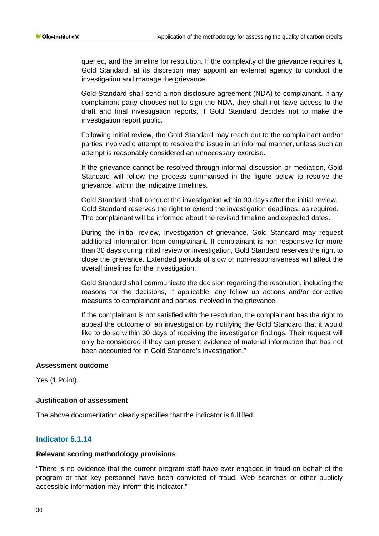queried, and the timeline for resolution. If the complexity of the grievance requires it, Gold Standard, at its discretion may appoint an external agency to conduct the investigation and manage the grievance.

Gold Standard shall send a non-disclosure agreement (NDA) to complainant. If any complainant party chooses not to sign the NDA, they shall not have access to the draft and final investigation reports, if Gold Standard decides not to make the investigation report public.

Following initial review, the Gold Standard may reach out to the complainant and/or parties involved o attempt to resolve the issue in an informal manner, unless such an attempt is reasonably considered an unnecessary exercise.

If the grievance cannot be resolved through informal discussion or mediation, Gold Standard will follow the process summarised in the figure below to resolve the grievance, within the indicative timelines.

Gold Standard shall conduct the investigation within 90 days after the initial review. Gold Standard reserves the right to extend the investigation deadlines, as required. The complainant will be informed about the revised timeline and expected dates.

During the initial review, investigation of grievance, Gold Standard may request additional information from complainant. If complainant is non-responsive for more than 30 days during initial review or investigation, Gold Standard reserves the right to close the grievance. Extended periods of slow or non-responsiveness will affect the overall timelines for the investigation.

Gold Standard shall communicate the decision regarding the resolution, including the reasons for the decisions, if applicable, any follow up actions and/or corrective measures to complainant and parties involved in the grievance.

If the complainant is not satisfied with the resolution, the complainant has the right to appeal the outcome of an investigation by notifying the Gold Standard that it would like to do so within 30 days of receiving the investigation findings. Their request will only be considered if they can present evidence of material information that has not been accounted for in Gold Standard's investigation."

#### **Assessment outcome**

Yes (1 Point).

#### **Justification of assessment**

The above documentation clearly specifies that the indicator is fulfilled.

### **Indicator 5.1.14**

#### **Relevant scoring methodology provisions**

"There is no evidence that the current program staff have ever engaged in fraud on behalf of the program or that key personnel have been convicted of fraud. Web searches or other publicly accessible information may inform this indicator."